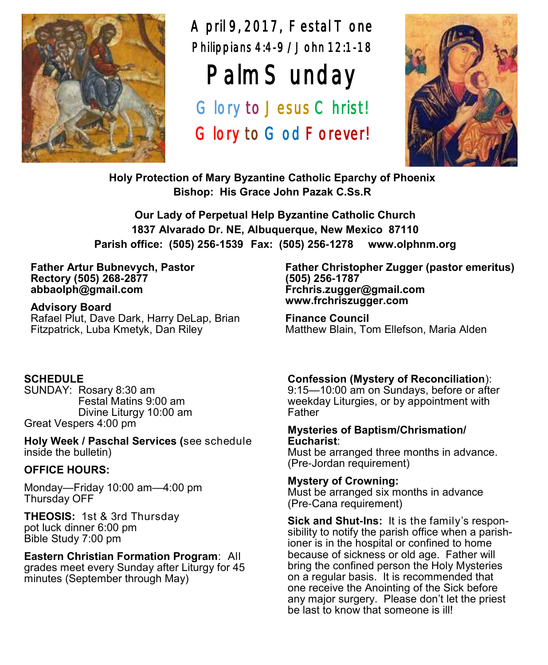

April 9, 2017, Festal Tone Philippians 4:4-9 /John 12:1-18

# Palm Sunday

Glory to Jesus Christ! Glory to God Forever!



**Holy Protection of Mary Byzantine Catholic Eparchy of Phoenix Bishop: His Grace John Pazak C.Ss.R**

**Our Lady of Perpetual Help Byzantine Catholic Church 1837 Alvarado Dr. NE, Albuquerque, New Mexico 87110 Parish office: (505) 256-1539 Fax: (505) 256-1278 www.olphnm.org**

#### **Father Artur Bubnevych, Pastor Rectory (505) 268-2877 abbaolph@gmail.com**

**Advisory Board**  Rafael Plut, Dave Dark, Harry DeLap, Brian Fitzpatrick, Luba Kmetyk, Dan Riley

#### **SCHEDULE**

SUNDAY: Rosary 8:30 am Festal Matins 9:00 am Divine Liturgy 10:00 am Great Vespers 4:00 pm

**Holy Week / Paschal Services (**see schedule inside the bulletin)

#### **OFFICE HOURS:**

Monday—Friday 10:00 am—4:00 pm Thursday OFF

**THEOSIS:** 1st & 3rd Thursday pot luck dinner 6:00 pm Bible Study 7:00 pm

**Eastern Christian Formation Program**: All grades meet every Sunday after Liturgy for 45 minutes (September through May)

#### **Father Christopher Zugger (pastor emeritus) (505) 256-1787 Frchris.zugger@gmail.com www.frchriszugger.com**

**Finance Council**  Matthew Blain, Tom Ellefson, Maria Alden

#### **Confession (Mystery of Reconciliation**):

9:15—10:00 am on Sundays, before or after weekday Liturgies, or by appointment with Father

#### **Mysteries of Baptism/Chrismation/ Eucharist**:

Must be arranged three months in advance. (Pre-Jordan requirement)

#### **Mystery of Crowning:**

Must be arranged six months in advance (Pre-Cana requirement)

**Sick and Shut-Ins:** It is the family's responsibility to notify the parish office when a parishioner is in the hospital or confined to home because of sickness or old age. Father will bring the confined person the Holy Mysteries on a regular basis. It is recommended that one receive the Anointing of the Sick before any major surgery. Please don't let the priest be last to know that someone is ill!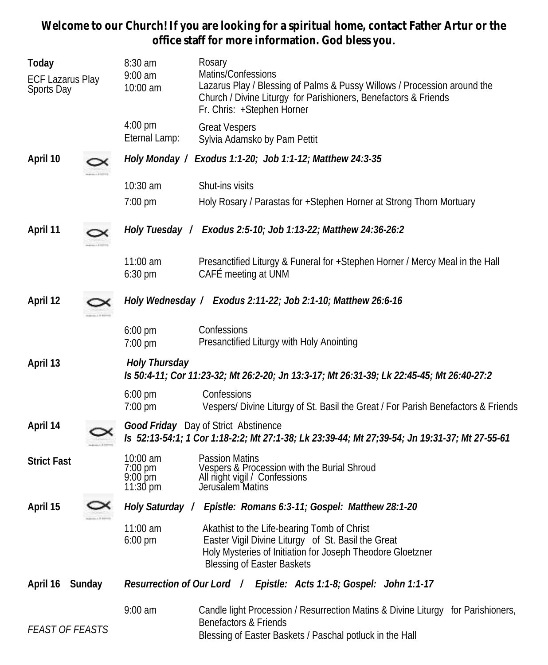**Welcome to our Church! If you are looking for a spiritual home, contact Father Artur or the office staff for more information. God bless you.**

| Today<br>ECF Lazarus Play<br>Sports Day | $8:30$ am<br>$9:00$ am<br>10:00 am                                | Rosary<br>Matins/Confessions<br>Lazarus Play / Blessing of Palms & Pussy Willows / Procession around the<br>Church / Divine Liturgy for Parishioners, Benefactors & Friends<br>Fr. Chris: +Stephen Horner |  |  |  |
|-----------------------------------------|-------------------------------------------------------------------|-----------------------------------------------------------------------------------------------------------------------------------------------------------------------------------------------------------|--|--|--|
|                                         | 4:00 pm<br>Eternal Lamp:                                          | <b>Great Vespers</b><br>Sylvia Adamsko by Pam Pettit                                                                                                                                                      |  |  |  |
| April 10                                | Holy Monday /                                                     | Exodus 1:1-20; Job 1:1-12; Matthew 24:3-35                                                                                                                                                                |  |  |  |
|                                         | 10:30 am                                                          | Shut-ins visits                                                                                                                                                                                           |  |  |  |
|                                         | 7:00 pm                                                           | Holy Rosary / Parastas for +Stephen Horner at Strong Thorn Mortuary                                                                                                                                       |  |  |  |
| April 11                                |                                                                   | Holy Tuesday / Exodus 2:5-10; Job 1:13-22; Matthew 24:36-26:2                                                                                                                                             |  |  |  |
|                                         | $11:00$ am<br>$6:30$ pm                                           | Presanctified Liturgy & Funeral for +Stephen Horner / Mercy Meal in the Hall<br>CAFÉ meeting at UNM                                                                                                       |  |  |  |
| April 12                                |                                                                   | Holy Wednesday / Exodus 2:11-22; Job 2:1-10; Matthew 26:6-16                                                                                                                                              |  |  |  |
|                                         | $6:00 \text{ pm}$<br>7:00 pm                                      | Confessions<br>Presanctified Liturgy with Holy Anointing                                                                                                                                                  |  |  |  |
| April 13                                | Holy Thursday                                                     | Is 50:4-11; Cor 11:23-32; Mt 26:2-20; Jn 13:3-17; Mt 26:31-39; Lk 22:45-45; Mt 26:40-27:2                                                                                                                 |  |  |  |
|                                         | $6:00$ pm<br>$7:00 \text{ pm}$                                    | Confessions<br>Vespers/ Divine Liturgy of St. Basil the Great / For Parish Benefactors & Friends                                                                                                          |  |  |  |
| April 14                                |                                                                   | Good Friday Day of Strict Abstinence<br>Is 52:13-54:1; 1 Cor 1:18-2:2; Mt 27:1-38; Lk 23:39-44; Mt 27;39-54; Jn 19:31-37; Mt 27-55-61                                                                     |  |  |  |
| <b>Strict Fast</b>                      | 10:00 am<br>7:00 pm<br>$9:00 \,\mathrm{pm}$<br>$11:30 \text{ pm}$ | Passion Matins<br>Vespers & Procession with the Burial Shroud<br>All night vigil / Confessions<br>Jerusalem Matins                                                                                        |  |  |  |
| April 15                                |                                                                   | Holy Saturday / Epistle: Romans 6:3-11; Gospel: Matthew 28:1-20                                                                                                                                           |  |  |  |
|                                         | $11:00$ am<br>6:00 pm                                             | Akathist to the Life-bearing Tomb of Christ<br>Easter Vigil Divine Liturgy of St. Basil the Great<br>Holy Mysteries of Initiation for Joseph Theodore Gloetzner<br><b>Blessing of Easter Baskets</b>      |  |  |  |
| April 16<br>Sunday                      |                                                                   | Resurrection of Our Lord / Epistle: Acts 1:1-8; Gospel: John 1:1-17                                                                                                                                       |  |  |  |
| <b>FEAST OF FEASTS</b>                  | $9:00$ am                                                         | Candle light Procession / Resurrection Matins & Divine Liturgy for Parishioners,<br>Benefactors & Friends<br>Blessing of Easter Baskets / Paschal potluck in the Hall                                     |  |  |  |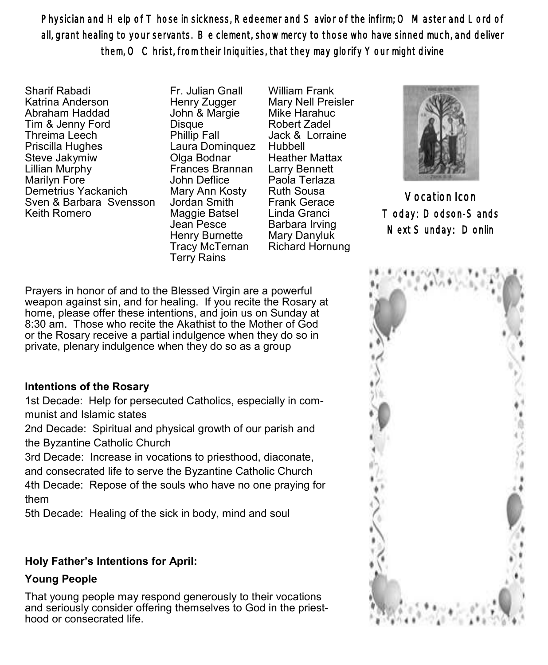Physician and Help of Those in sickness, Redeemer and Savior of the infirm; O Master and Lord of all, grant healing to your servants. Be clement, show mercy to those who have sinned much, and deliver them, O Christ, from their Iniquities, that they may glorify Your might divine

Sharif Rabadi Katrina Anderson Abraham Haddad Tim & Jenny Ford Threima Leech Priscilla Hughes Steve Jakymiw Lillian Murphy Marilyn Fore Demetrius Yackanich Sven & Barbara Svensson Keith Romero

Fr. Julian Gnall Henry Zugger John & Margie **Disque** Phillip Fall Laura Dominquez Olga Bodnar Frances Brannan John Deflice Mary Ann Kosty Jordan Smith Maggie Batsel Jean Pesce Henry Burnette Tracy McTernan Terry Rains

William Frank Mary Nell Preisler Mike Harahuc Robert Zadel Jack & Lorraine Hubbell Heather Mattax Larry Bennett Paola Terlaza Ruth Sousa Frank Gerace Linda Granci Barbara Irving Mary Danyluk Richard Hornung



Vocation Icon Today: Dodson-Sands Next Sunday: Donlin

Prayers in honor of and to the Blessed Virgin are a powerful weapon against sin, and for healing. If you recite the Rosary at home, please offer these intentions, and join us on Sunday at 8:30 am. Those who recite the Akathist to the Mother of God or the Rosary receive a partial indulgence when they do so in private, plenary indulgence when they do so as a group

#### **Intentions of the Rosary**

1st Decade: Help for persecuted Catholics, especially in communist and Islamic states

2nd Decade: Spiritual and physical growth of our parish and the Byzantine Catholic Church

3rd Decade: Increase in vocations to priesthood, diaconate, and consecrated life to serve the Byzantine Catholic Church 4th Decade: Repose of the souls who have no one praying for them

5th Decade: Healing of the sick in body, mind and soul

#### **Holy Father's Intentions for April:**

#### **Young People**

That young people may respond generously to their vocations and seriously consider offering themselves to God in the priesthood or consecrated life.

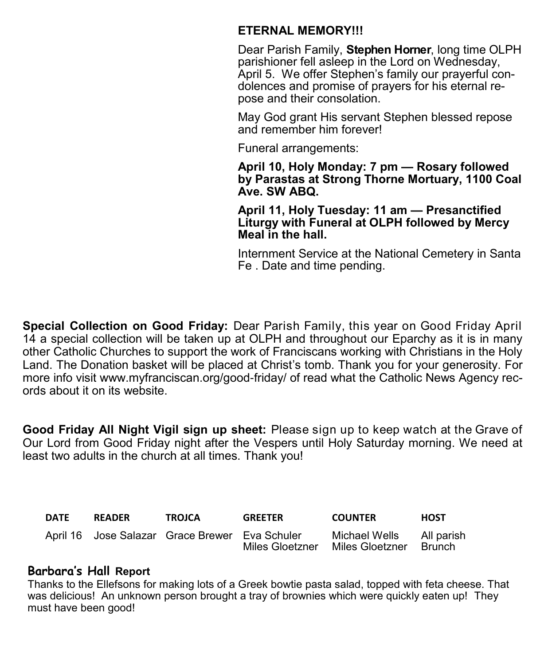## **ETERNAL MEMORY!!!**

Dear Parish Family, **Stephen Horner**, long time OLPH parishioner fell asleep in the Lord on Wednesday, April 5. We offer Stephen's family our prayerful condolences and promise of prayers for his eternal repose and their consolation.

May God grant His servant Stephen blessed repose and remember him forever!

Funeral arrangements:

**April 10, Holy Monday: 7 pm — Rosary followed by Parastas at Strong Thorne Mortuary, 1100 Coal Ave. SW ABQ.**

**April 11, Holy Tuesday: 11 am — Presanctified Liturgy with Funeral at OLPH followed by Mercy Meal in the hall.**

Internment Service at the National Cemetery in Santa Fe . Date and time pending.

**Special Collection on Good Friday:** Dear Parish Family, this year on Good Friday April 14 a special collection will be taken up at OLPH and throughout our Eparchy as it is in many other Catholic Churches to support the work of Franciscans working with Christians in the Holy Land. The Donation basket will be placed at Christ's tomb. Thank you for your generosity. For more info visit www.myfranciscan.org/good-friday/ of read what the Catholic News Agency records about it on its website.

**Good Friday All Night Vigil sign up sheet:** Please sign up to keep watch at the Grave of Our Lord from Good Friday night after the Vespers until Holy Saturday morning. We need at least two adults in the church at all times. Thank you!

| <b>DATE</b> | <b>READER</b> | <b>TROJCA</b>                                  | <b>GREETER</b>  | <b>COUNTER</b>                   | <b>HOST</b>          |
|-------------|---------------|------------------------------------------------|-----------------|----------------------------------|----------------------|
|             |               | April 16 Jose Salazar Grace Brewer Eva Schuler | Miles Gloetzner | Michael Wells<br>Miles Gloetzner | All parish<br>Brunch |

## **Barbara's Hall Report**

Thanks to the Ellefsons for making lots of a Greek bowtie pasta salad, topped with feta cheese. That was delicious! An unknown person brought a tray of brownies which were quickly eaten up! They must have been good!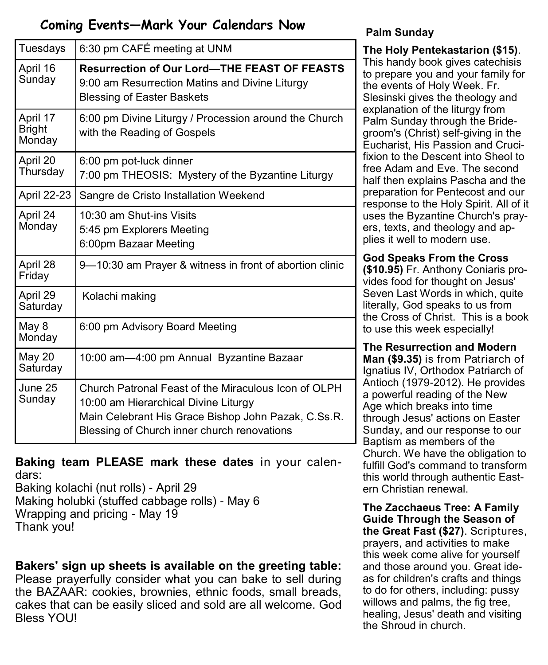# **Coming Events—Mark Your Calendars Now**

| Tuesdays                            | 6:30 pm CAFÉ meeting at UNM                                                                                                                                                                        |  |
|-------------------------------------|----------------------------------------------------------------------------------------------------------------------------------------------------------------------------------------------------|--|
| April 16<br>Sunday                  | <b>Resurrection of Our Lord-THE FEAST OF FEASTS</b><br>9:00 am Resurrection Matins and Divine Liturgy<br><b>Blessing of Easter Baskets</b>                                                         |  |
| April 17<br><b>Bright</b><br>Monday | 6:00 pm Divine Liturgy / Procession around the Church<br>with the Reading of Gospels                                                                                                               |  |
| April 20<br>Thursday                | 6:00 pm pot-luck dinner<br>7:00 pm THEOSIS: Mystery of the Byzantine Liturgy                                                                                                                       |  |
| April 22-23                         | Sangre de Cristo Installation Weekend                                                                                                                                                              |  |
| April 24<br>Monday                  | 10:30 am Shut-ins Visits<br>5:45 pm Explorers Meeting<br>6:00pm Bazaar Meeting                                                                                                                     |  |
| April 28<br>Friday                  | 9—10:30 am Prayer & witness in front of abortion clinic                                                                                                                                            |  |
| April 29<br>Saturday                | Kolachi making                                                                                                                                                                                     |  |
| May 8<br>Monday                     | 6:00 pm Advisory Board Meeting                                                                                                                                                                     |  |
| May 20<br>Saturday                  | 10:00 am-4:00 pm Annual Byzantine Bazaar                                                                                                                                                           |  |
| June 25<br>Sunday                   | Church Patronal Feast of the Miraculous Icon of OLPH<br>10:00 am Hierarchical Divine Liturgy<br>Main Celebrant His Grace Bishop John Pazak, C.Ss.R.<br>Blessing of Church inner church renovations |  |

**Baking team PLEASE mark these dates** in your calendars:

Baking kolachi (nut rolls) - April 29 Making holubki (stuffed cabbage rolls) - May 6 Wrapping and pricing - May 19 Thank you!

**Bakers' sign up sheets is available on the greeting table:** Please prayerfully consider what you can bake to sell during the BAZAAR: cookies, brownies, ethnic foods, small breads, cakes that can be easily sliced and sold are all welcome. God Bless YOU!

# **Palm Sunday**

**The Holy Pentekastarion (\$15)**. This handy book gives catechisis to prepare you and your family for the events of Holy Week. Fr. Slesinski gives the theology and explanation of the liturgy from Palm Sunday through the Bridegroom's (Christ) self-giving in the Eucharist, His Passion and Crucifixion to the Descent into Sheol to free Adam and Eve. The second half then explains Pascha and the preparation for Pentecost and our response to the Holy Spirit. All of it uses the Byzantine Church's prayers, texts, and theology and applies it well to modern use.

#### **God Speaks From the Cross**

**(\$10.95)** Fr. Anthony Coniaris provides food for thought on Jesus' Seven Last Words in which, quite literally, God speaks to us from the Cross of Christ. This is a book to use this week especially!

**The Resurrection and Modern Man (\$9.35)** is from Patriarch of Ignatius IV, Orthodox Patriarch of Antioch (1979-2012). He provides a powerful reading of the New Age which breaks into time through Jesus' actions on Easter Sunday, and our response to our Baptism as members of the Church. We have the obligation to fulfill God's command to transform this world through authentic Eastern Christian renewal.

**The Zacchaeus Tree: A Family Guide Through the Season of the Great Fast (\$27)**. Scriptures, prayers, and activities to make this week come alive for yourself and those around you. Great ideas for children's crafts and things to do for others, including: pussy willows and palms, the fig tree, healing, Jesus' death and visiting the Shroud in church.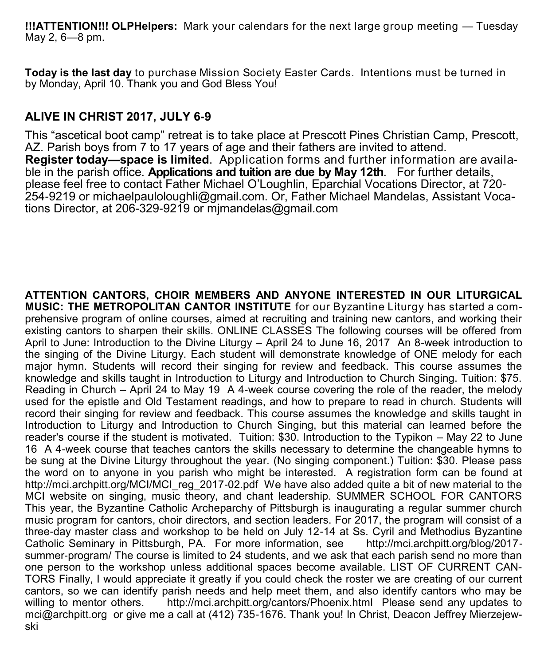**!!!ATTENTION!!! OLPHelpers:** Mark your calendars for the next large group meeting — Tuesday May 2, 6—8 pm.

**Today is the last day** to purchase Mission Society Easter Cards. Intentions must be turned in by Monday, April 10. Thank you and God Bless You!

# **ALIVE IN CHRIST 2017, JULY 6-9**

This "ascetical boot camp" retreat is to take place at Prescott Pines Christian Camp, Prescott, AZ. Parish boys from 7 to 17 years of age and their fathers are invited to attend. **Register today—space is limited**. Application forms and further information are available in the parish office. **Applications and tuition are due by May 12th**. For further details, please feel free to contact Father Michael O'Loughlin, Eparchial Vocations Director, at 720- 254-9219 or michaelpauloloughli@gmail.com. Or, Father Michael Mandelas, Assistant Vocations Director, at 206-329-9219 or mjmandelas@gmail.com

**ATTENTION CANTORS, CHOIR MEMBERS AND ANYONE INTERESTED IN OUR LITURGICAL MUSIC: THE METROPOLITAN CANTOR INSTITUTE** for our Byzantine Liturgy has started a comprehensive program of online courses, aimed at recruiting and training new cantors, and working their existing cantors to sharpen their skills. ONLINE CLASSES The following courses will be offered from April to June: Introduction to the Divine Liturgy – April 24 to June 16, 2017 An 8-week introduction to the singing of the Divine Liturgy. Each student will demonstrate knowledge of ONE melody for each major hymn. Students will record their singing for review and feedback. This course assumes the knowledge and skills taught in Introduction to Liturgy and Introduction to Church Singing. Tuition: \$75. Reading in Church – April 24 to May 19 A 4-week course covering the role of the reader, the melody used for the epistle and Old Testament readings, and how to prepare to read in church. Students will record their singing for review and feedback. This course assumes the knowledge and skills taught in Introduction to Liturgy and Introduction to Church Singing, but this material can learned before the reader's course if the student is motivated. Tuition: \$30. Introduction to the Typikon – May 22 to June 16 A 4-week course that teaches cantors the skills necessary to determine the changeable hymns to be sung at the Divine Liturgy throughout the year. (No singing component.) Tuition: \$30. Please pass the word on to anyone in you parish who might be interested. A registration form can be found at http://mci.archpitt.org/MCI/MCI\_reg\_2017-02.pdf We have also added quite a bit of new material to the MCI website on singing, music theory, and chant leadership. SUMMER SCHOOL FOR CANTORS This year, the Byzantine Catholic Archeparchy of Pittsburgh is inaugurating a regular summer church music program for cantors, choir directors, and section leaders. For 2017, the program will consist of a three-day master class and workshop to be held on July 12-14 at Ss. Cyril and Methodius Byzantine Catholic Seminary in Pittsburgh, PA. For more information, see summer-program/ The course is limited to 24 students, and we ask that each parish send no more than one person to the workshop unless additional spaces become available. LIST OF CURRENT CAN-TORS Finally, I would appreciate it greatly if you could check the roster we are creating of our current cantors, so we can identify parish needs and help meet them, and also identify cantors who may be willing to mentor others. http://mci.archpitt.org/cantors/Phoenix.html Please send any updates to mci@archpitt.org or give me a call at (412) 735-1676. Thank you! In Christ, Deacon Jeffrey Mierzejewski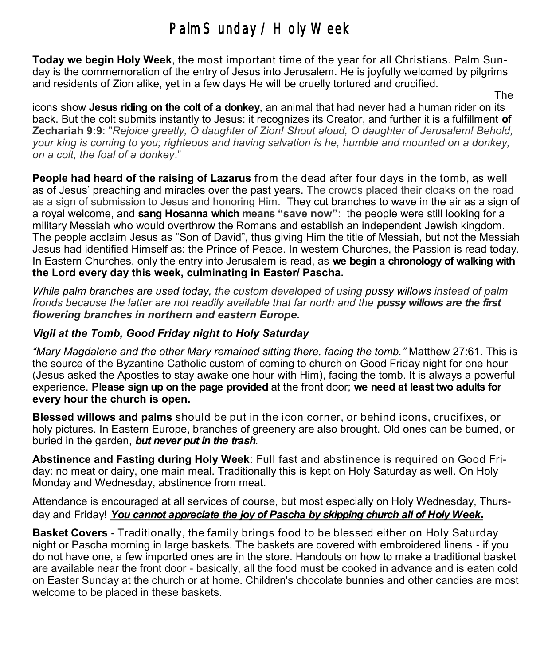# Palm Sunday / Holy Week

**Today we begin Holy Week**, the most important time of the year for all Christians. Palm Sunday is the commemoration of the entry of Jesus into Jerusalem. He is joyfully welcomed by pilgrims and residents of Zion alike, yet in a few days He will be cruelly tortured and crucified.

The contract of the contract of the contract of the contract of the contract of the contract of the contract of the contract of the contract of the contract of the contract of the contract of the contract of the contract o icons show **Jesus riding on the colt of a donkey**, an animal that had never had a human rider on its back. But the colt submits instantly to Jesus: it recognizes its Creator, and further it is a fulfillment **of Zechariah 9:9**: "*Rejoice greatly, O daughter of Zion! Shout aloud, O daughter of Jerusalem! Behold, your king is coming to you; righteous and having salvation is he, humble and mounted on a donkey, on a colt, the foal of a donkey*."

**People had heard of the raising of Lazarus** from the dead after four days in the tomb, as well as of Jesus' preaching and miracles over the past years. The crowds placed their cloaks on the road as a sign of submission to Jesus and honoring Him. They cut branches to wave in the air as a sign of a royal welcome, and **sang Hosanna which means "save now"**: the people were still looking for a military Messiah who would overthrow the Romans and establish an independent Jewish kingdom. The people acclaim Jesus as "Son of David", thus giving Him the title of Messiah, but not the Messiah Jesus had identified Himself as: the Prince of Peace. In western Churches, the Passion is read today. In Eastern Churches, only the entry into Jerusalem is read, as **we begin a chronology of walking with the Lord every day this week, culminating in Easter/ Pascha.**

*While palm branches are used today, the custom developed of using [pussy willows](http://en.wikipedia.org/wiki/Pussy_willow) instead of palm fronds because the latter are not readily available that far north and the pussy willows are the first flowering branches in northern and eastern Europe.* 

#### *Vigil at the Tomb, Good Friday night to Holy Saturday*

*"Mary Magdalene and the other Mary remained sitting there, facing the tomb."* Matthew 27:61. This is the source of the Byzantine Catholic custom of coming to church on Good Friday night for one hour (Jesus asked the Apostles to stay awake one hour with Him), facing the tomb. It is always a powerful experience. **Please sign up on the page provided** at the front door; **we need at least two adults for every hour the church is open.** 

**Blessed willows and palms** should be put in the icon corner, or behind icons, crucifixes, or holy pictures. In Eastern Europe, branches of greenery are also brought. Old ones can be burned, or buried in the garden, *but never put in the trash*.

**Abstinence and Fasting during Holy Week**: Full fast and abstinence is required on Good Friday: no meat or dairy, one main meal. Traditionally this is kept on Holy Saturday as well. On Holy Monday and Wednesday, abstinence from meat.

Attendance is encouraged at all services of course, but most especially on Holy Wednesday, Thursday and Friday! *You cannot appreciate the joy of Pascha by skipping church all of Holy Week.* 

**Basket Covers -** Traditionally, the family brings food to be blessed either on Holy Saturday night or Pascha morning in large baskets. The baskets are covered with embroidered linens - if you do not have one, a few imported ones are in the store. Handouts on how to make a traditional basket are available near the front door - basically, all the food must be cooked in advance and is eaten cold on Easter Sunday at the church or at home. Children's chocolate bunnies and other candies are most welcome to be placed in these baskets.